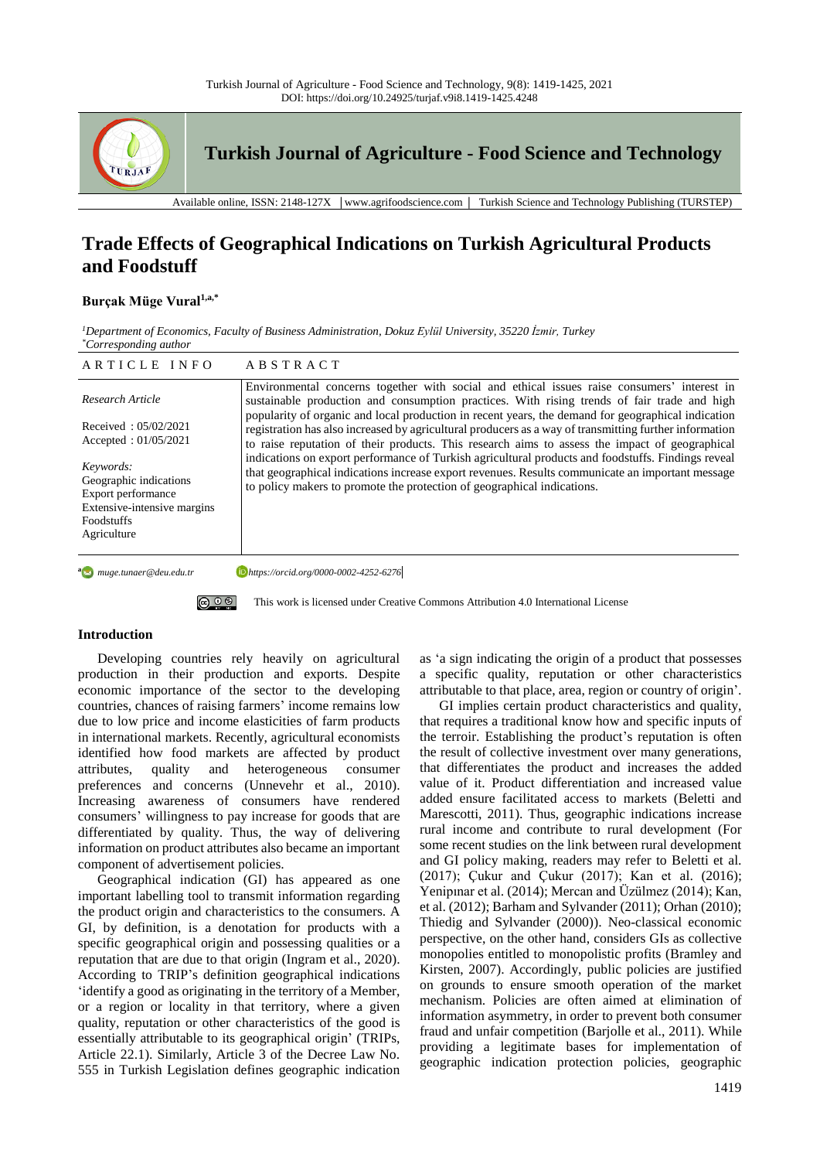

# **Trade Effects of Geographical Indications on Turkish Agricultural Products and Foodstuff**

## **Burçak Müge Vural1,a,\***

*<sup>1</sup>Department of Economics, Faculty of Business Administration, Dokuz Eylül University, 35220 İzmir, Turkey \*Corresponding author*

| ARTICLE INFO                                                                                                                                                                                         | ABSTRACT                                                                                                                                                                                                                                                                                                                                                                                                                                                                                                                                                                                                                                                                                                                                                                                          |
|------------------------------------------------------------------------------------------------------------------------------------------------------------------------------------------------------|---------------------------------------------------------------------------------------------------------------------------------------------------------------------------------------------------------------------------------------------------------------------------------------------------------------------------------------------------------------------------------------------------------------------------------------------------------------------------------------------------------------------------------------------------------------------------------------------------------------------------------------------------------------------------------------------------------------------------------------------------------------------------------------------------|
| Research Article<br>Received: $05/02/2021$<br>Accepted: $01/05/2021$<br>Keywords:<br>Geographic indications<br>Export performance<br>Extensive-intensive margins<br><b>Foodstuffs</b><br>Agriculture | Environmental concerns together with social and ethical issues raise consumers' interest in<br>sustainable production and consumption practices. With rising trends of fair trade and high<br>popularity of organic and local production in recent years, the demand for geographical indication<br>registration has also increased by agricultural producers as a way of transmitting further information<br>to raise reputation of their products. This research aims to assess the impact of geographical<br>indications on export performance of Turkish agricultural products and foodstuffs. Findings reveal<br>that geographical indications increase export revenues. Results communicate an important message<br>to policy makers to promote the protection of geographical indications. |
| a Muge.tunaer@deu.edu.tr                                                                                                                                                                             | https://orcid.org/0000-0002-4252-6276                                                                                                                                                                                                                                                                                                                                                                                                                                                                                                                                                                                                                                                                                                                                                             |

**ම ග** 

This work is licensed under Creative Commons Attribution 4.0 International License

## **Introduction**

Developing countries rely heavily on agricultural production in their production and exports. Despite economic importance of the sector to the developing countries, chances of raising farmers' income remains low due to low price and income elasticities of farm products in international markets. Recently, agricultural economists identified how food markets are affected by product attributes, quality and heterogeneous consumer preferences and concerns (Unnevehr et al., 2010). Increasing awareness of consumers have rendered consumers' willingness to pay increase for goods that are differentiated by quality. Thus, the way of delivering information on product attributes also became an important component of advertisement policies.

Geographical indication (GI) has appeared as one important labelling tool to transmit information regarding the product origin and characteristics to the consumers. A GI, by definition, is a denotation for products with a specific geographical origin and possessing qualities or a reputation that are due to that origin (Ingram et al., 2020). According to TRIP's definition geographical indications 'identify a good as originating in the territory of a Member, or a region or locality in that territory, where a given quality, reputation or other characteristics of the good is essentially attributable to its geographical origin' (TRIPs, Article 22.1). Similarly, Article 3 of the Decree Law No. 555 in Turkish Legislation defines geographic indication as 'a sign indicating the origin of a product that possesses a specific quality, reputation or other characteristics attributable to that place, area, region or country of origin'.

GI implies certain product characteristics and quality, that requires a traditional know how and specific inputs of the terroir. Establishing the product's reputation is often the result of collective investment over many generations, that differentiates the product and increases the added value of it. Product differentiation and increased value added ensure facilitated access to markets (Beletti and Marescotti, 2011). Thus, geographic indications increase rural income and contribute to rural development (For some recent studies on the link between rural development and GI policy making, readers may refer to Beletti et al. (2017); Çukur and Çukur (2017); Kan et al. (2016); Yenipınar et al. (2014); Mercan and Üzülmez (2014); Kan, et al. (2012); Barham and Sylvander (2011); Orhan (2010); Thiedig and Sylvander (2000)). Neo-classical economic perspective, on the other hand, considers GIs as collective monopolies entitled to monopolistic profits (Bramley and Kirsten, 2007). Accordingly, public policies are justified on grounds to ensure smooth operation of the market mechanism. Policies are often aimed at elimination of information asymmetry, in order to prevent both consumer fraud and unfair competition (Barjolle et al., 2011). While providing a legitimate bases for implementation of geographic indication protection policies, geographic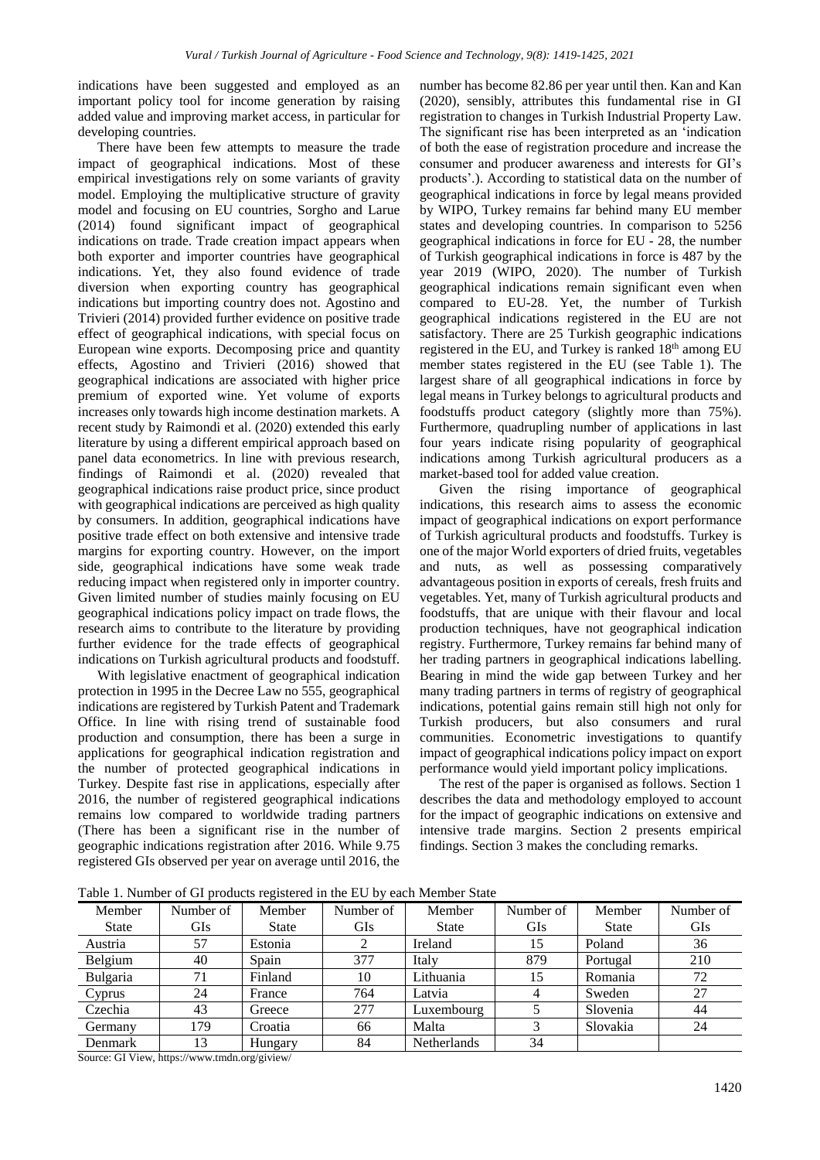indications have been suggested and employed as an important policy tool for income generation by raising added value and improving market access, in particular for developing countries.

There have been few attempts to measure the trade impact of geographical indications. Most of these empirical investigations rely on some variants of gravity model. Employing the multiplicative structure of gravity model and focusing on EU countries, Sorgho and Larue (2014) found significant impact of geographical indications on trade. Trade creation impact appears when both exporter and importer countries have geographical indications. Yet, they also found evidence of trade diversion when exporting country has geographical indications but importing country does not. Agostino and Trivieri (2014) provided further evidence on positive trade effect of geographical indications, with special focus on European wine exports. Decomposing price and quantity effects, Agostino and Trivieri (2016) showed that geographical indications are associated with higher price premium of exported wine. Yet volume of exports increases only towards high income destination markets. A recent study by Raimondi et al. (2020) extended this early literature by using a different empirical approach based on panel data econometrics. In line with previous research, findings of Raimondi et al. (2020) revealed that geographical indications raise product price, since product with geographical indications are perceived as high quality by consumers. In addition, geographical indications have positive trade effect on both extensive and intensive trade margins for exporting country. However, on the import side, geographical indications have some weak trade reducing impact when registered only in importer country. Given limited number of studies mainly focusing on EU geographical indications policy impact on trade flows, the research aims to contribute to the literature by providing further evidence for the trade effects of geographical indications on Turkish agricultural products and foodstuff.

With legislative enactment of geographical indication protection in 1995 in the Decree Law no 555, geographical indications are registered by Turkish Patent and Trademark Office. In line with rising trend of sustainable food production and consumption, there has been a surge in applications for geographical indication registration and the number of protected geographical indications in Turkey. Despite fast rise in applications, especially after 2016, the number of registered geographical indications remains low compared to worldwide trading partners (There has been a significant rise in the number of geographic indications registration after 2016. While 9.75 registered GIs observed per year on average until 2016, the

number has become 82.86 per year until then. Kan and Kan (2020), sensibly, attributes this fundamental rise in GI registration to changes in Turkish Industrial Property Law. The significant rise has been interpreted as an 'indication of both the ease of registration procedure and increase the consumer and producer awareness and interests for GI's products'.). According to statistical data on the number of geographical indications in force by legal means provided by WIPO, Turkey remains far behind many EU member states and developing countries. In comparison to 5256 geographical indications in force for EU - 28, the number of Turkish geographical indications in force is 487 by the year 2019 (WIPO, 2020). The number of Turkish geographical indications remain significant even when compared to EU-28. Yet, the number of Turkish geographical indications registered in the EU are not satisfactory. There are 25 Turkish geographic indications registered in the EU, and Turkey is ranked 18<sup>th</sup> among EU member states registered in the EU (see Table 1). The largest share of all geographical indications in force by legal means in Turkey belongs to agricultural products and foodstuffs product category (slightly more than 75%). Furthermore, quadrupling number of applications in last four years indicate rising popularity of geographical indications among Turkish agricultural producers as a market-based tool for added value creation.

Given the rising importance of geographical indications, this research aims to assess the economic impact of geographical indications on export performance of Turkish agricultural products and foodstuffs. Turkey is one of the major World exporters of dried fruits, vegetables and nuts, as well as possessing comparatively advantageous position in exports of cereals, fresh fruits and vegetables. Yet, many of Turkish agricultural products and foodstuffs, that are unique with their flavour and local production techniques, have not geographical indication registry. Furthermore, Turkey remains far behind many of her trading partners in geographical indications labelling. Bearing in mind the wide gap between Turkey and her many trading partners in terms of registry of geographical indications, potential gains remain still high not only for Turkish producers, but also consumers and rural communities. Econometric investigations to quantify impact of geographical indications policy impact on export performance would yield important policy implications.

The rest of the paper is organised as follows. Section 1 describes the data and methodology employed to account for the impact of geographic indications on extensive and intensive trade margins. Section 2 presents empirical findings. Section 3 makes the concluding remarks.

Table 1. Number of GI products registered in the EU by each Member State

| Member       | Number of  | Member       | Number of  | Member       | Number of  | Member       | Number of  |
|--------------|------------|--------------|------------|--------------|------------|--------------|------------|
| <b>State</b> | <b>GIs</b> | <b>State</b> | <b>GIs</b> | <b>State</b> | <b>GIs</b> | <b>State</b> | <b>GIs</b> |
| Austria      | 57         | Estonia      | 2          | Ireland      | 15         | Poland       | 36         |
| Belgium      | 40         | Spain        | 377        | Italy        | 879        | Portugal     | 210        |
| Bulgaria     | 71         | Finland      | 10         | Lithuania    | 15         | Romania      | 72         |
| Cyprus       | 24         | France       | 764        | Latvia       | 4          | Sweden       | 27         |
| Czechia      | 43         | Greece       | 277        | Luxembourg   |            | Slovenia     | 44         |
| Germany      | 179        | Croatia      | 66         | Malta        | 3          | Slovakia     | 24         |
| Denmark      | 13         | Hungary      | 84         | Netherlands  | 34         |              |            |

Source: GI View, https://www.tmdn.org/giview/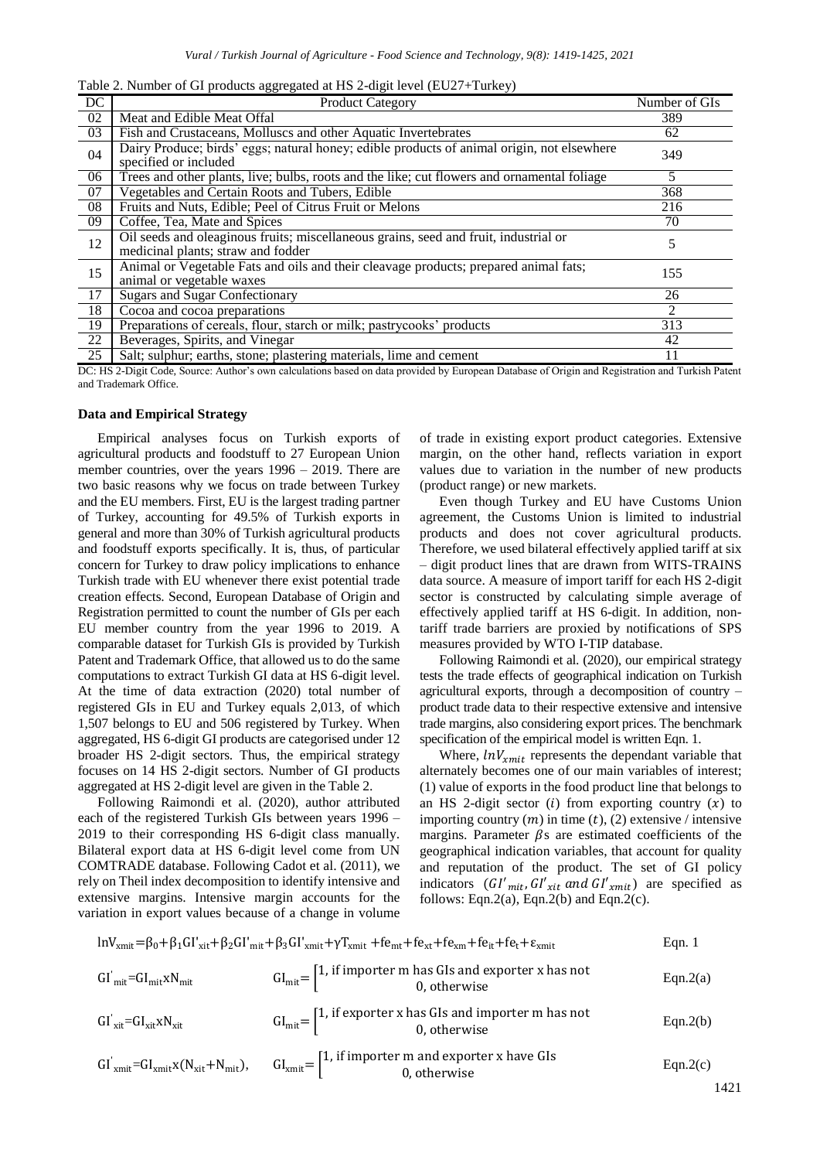| Table 2. Number of GI products aggregated at HS 2-digit level (EU27+Turkey) |  |
|-----------------------------------------------------------------------------|--|
|                                                                             |  |

| DC | <b>Product Category</b>                                                                                                    | Number of GIs  |
|----|----------------------------------------------------------------------------------------------------------------------------|----------------|
| 02 | Meat and Edible Meat Offal                                                                                                 | 389            |
| 03 | Fish and Crustaceans, Molluscs and other Aquatic Invertebrates                                                             | 62             |
| 04 | Dairy Produce; birds' eggs; natural honey; edible products of animal origin, not elsewhere<br>specified or included        | 349            |
| 06 | Trees and other plants, live; bulbs, roots and the like; cut flowers and ornamental foliage                                | 5              |
| 07 | Vegetables and Certain Roots and Tubers, Edible                                                                            | 368            |
| 08 | Fruits and Nuts, Edible; Peel of Citrus Fruit or Melons                                                                    | 216            |
| 09 | Coffee, Tea, Mate and Spices                                                                                               | 70             |
| 12 | Oil seeds and oleaginous fruits; miscellaneous grains, seed and fruit, industrial or<br>medicinal plants; straw and fodder | 5              |
| 15 | Animal or Vegetable Fats and oils and their cleavage products; prepared animal fats;<br>animal or vegetable waxes          | 155            |
| 17 | <b>Sugars and Sugar Confectionary</b>                                                                                      | 26             |
| 18 | Cocoa and cocoa preparations                                                                                               | $\mathfrak{D}$ |
| 19 | Preparations of cereals, flour, starch or milk; pastrycooks' products                                                      | 313            |
| 22 | Beverages, Spirits, and Vinegar                                                                                            | 42             |
| 25 | Salt; sulphur; earths, stone; plastering materials, lime and cement                                                        | 11             |

DC: HS 2-Digit Code, Source: Author's own calculations based on data provided by European Database of Origin and Registration and Turkish Patent and Trademark Office.

### **Data and Empirical Strategy**

Empirical analyses focus on Turkish exports of agricultural products and foodstuff to 27 European Union member countries, over the years 1996 – 2019. There are two basic reasons why we focus on trade between Turkey and the EU members. First, EU is the largest trading partner of Turkey, accounting for 49.5% of Turkish exports in general and more than 30% of Turkish agricultural products and foodstuff exports specifically. It is, thus, of particular concern for Turkey to draw policy implications to enhance Turkish trade with EU whenever there exist potential trade creation effects. Second, European Database of Origin and Registration permitted to count the number of GIs per each EU member country from the year 1996 to 2019. A comparable dataset for Turkish GIs is provided by Turkish Patent and Trademark Office, that allowed us to do the same computations to extract Turkish GI data at HS 6-digit level. At the time of data extraction (2020) total number of registered GIs in EU and Turkey equals 2,013, of which 1,507 belongs to EU and 506 registered by Turkey. When aggregated, HS 6-digit GI products are categorised under 12 broader HS 2-digit sectors. Thus, the empirical strategy focuses on 14 HS 2-digit sectors. Number of GI products aggregated at HS 2-digit level are given in the Table 2.

Following Raimondi et al. (2020), author attributed each of the registered Turkish GIs between years 1996 – 2019 to their corresponding HS 6-digit class manually. Bilateral export data at HS 6-digit level come from UN COMTRADE database. Following Cadot et al. (2011), we rely on Theil index decomposition to identify intensive and extensive margins. Intensive margin accounts for the variation in export values because of a change in volume of trade in existing export product categories. Extensive margin, on the other hand, reflects variation in export values due to variation in the number of new products (product range) or new markets.

Even though Turkey and EU have Customs Union agreement, the Customs Union is limited to industrial products and does not cover agricultural products. Therefore, we used bilateral effectively applied tariff at six – digit product lines that are drawn from WITS-TRAINS data source. A measure of import tariff for each HS 2-digit sector is constructed by calculating simple average of effectively applied tariff at HS 6-digit. In addition, nontariff trade barriers are proxied by notifications of SPS measures provided by WTO I-TIP database.

Following Raimondi et al. (2020), our empirical strategy tests the trade effects of geographical indication on Turkish agricultural exports, through a decomposition of country – product trade data to their respective extensive and intensive trade margins, also considering export prices. The benchmark specification of the empirical model is written Eqn. 1.

Where,  $lnV_{xmit}$  represents the dependant variable that alternately becomes one of our main variables of interest; (1) value of exports in the food product line that belongs to an HS 2-digit sector (i) from exporting country  $(x)$  to importing country  $(m)$  in time  $(t)$ ,  $(2)$  extensive / intensive margins. Parameter  $\beta$ s are estimated coefficients of the geographical indication variables, that account for quality and reputation of the product. The set of GI policy indicators  $(GI'_{mit}, GI'_{xit} \text{ and } GI'_{xmit})$  are specified as follows: Eqn.2(a), Eqn.2(b) and Eqn.2(c).

| $lnVunit = \beta_0 + \beta_1 GI'_{xit} + \beta_2 GI'_{mit} + \beta_3 GI'_{xmit} + \gamma T_{xmit} + fe_{mt} + fe_{xt} + fe_{xm} + fe_{it} + fe_{t} + e_{xmit}$ |                                                                                                                                                                                                                                        |          |
|----------------------------------------------------------------------------------------------------------------------------------------------------------------|----------------------------------------------------------------------------------------------------------------------------------------------------------------------------------------------------------------------------------------|----------|
| $GI_{mit} = GI_{mit} xN_{mit}$                                                                                                                                 | $GI_{\text{mit}} = \begin{bmatrix} 1, \text{ if } \text{import er } m \text{ has } Gls \text{ and } \text{expert } r \text{ has not} \\ 0, \text{ otherwise} \end{bmatrix}$                                                            | Eqn.2(a) |
| $GI'_{xit} = GI_{xit}xN_{xit}$                                                                                                                                 | $GI_{mit} = \begin{bmatrix} 1, & \text{if } \text{exporter x has GIs and importer m has not} \\ 0, & \text{otherwise} \end{bmatrix}$                                                                                                   | Eqn.2(b) |
|                                                                                                                                                                | $GI'_{\text{xmit}} = GI_{\text{xmit}}x(N_{\text{xit}} + N_{\text{mit}}),$ $GI_{\text{xmit}} =\begin{bmatrix} 1, \text{ if } \text{import er } m \text{ and } \text{expert } x \text{ have } GIs \\ 0, \text{ otherwise} \end{bmatrix}$ | Eqn.2(c) |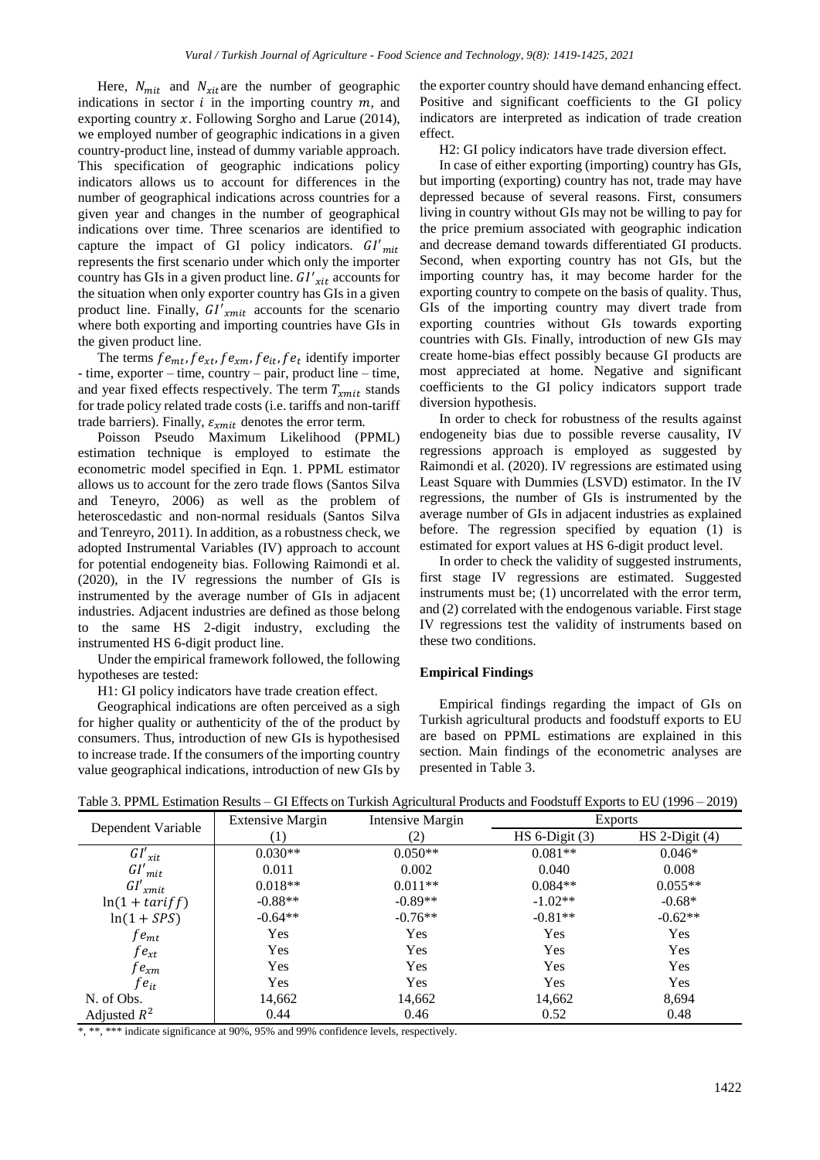Here,  $N_{mit}$  and  $N_{xit}$  are the number of geographic indications in sector  $i$  in the importing country  $m$ , and exporting country  $x$ . Following Sorgho and Larue (2014), we employed number of geographic indications in a given country-product line, instead of dummy variable approach. This specification of geographic indications policy indicators allows us to account for differences in the number of geographical indications across countries for a given year and changes in the number of geographical indications over time. Three scenarios are identified to capture the impact of GI policy indicators.  $GI'_{mit}$ represents the first scenario under which only the importer country has GIs in a given product line.  $GI'_{xit}$  accounts for the situation when only exporter country has GIs in a given product line. Finally,  $GI'_{xmit}$  accounts for the scenario where both exporting and importing countries have GIs in the given product line.

The terms  $fe_{mt}$ ,  $fe_{xt}$ ,  $fe_{xm}$ ,  $fe_{it}$ ,  $fe_t$  identify importer - time, exporter – time, country – pair, product line – time, and year fixed effects respectively. The term  $T<sub>rmit</sub>$  stands for trade policy related trade costs (i.e. tariffs and non-tariff trade barriers). Finally,  $\varepsilon_{xmit}$  denotes the error term.

Poisson Pseudo Maximum Likelihood (PPML) estimation technique is employed to estimate the econometric model specified in Eqn. 1. PPML estimator allows us to account for the zero trade flows (Santos Silva and Teneyro, 2006) as well as the problem of heteroscedastic and non-normal residuals (Santos Silva and Tenreyro, 2011). In addition, as a robustness check, we adopted Instrumental Variables (IV) approach to account for potential endogeneity bias. Following Raimondi et al. (2020), in the IV regressions the number of GIs is instrumented by the average number of GIs in adjacent industries. Adjacent industries are defined as those belong to the same HS 2-digit industry, excluding the instrumented HS 6-digit product line.

Under the empirical framework followed, the following hypotheses are tested:

H1: GI policy indicators have trade creation effect.

Geographical indications are often perceived as a sigh for higher quality or authenticity of the of the product by consumers. Thus, introduction of new GIs is hypothesised to increase trade. If the consumers of the importing country value geographical indications, introduction of new GIs by

the exporter country should have demand enhancing effect. Positive and significant coefficients to the GI policy indicators are interpreted as indication of trade creation effect.

H2: GI policy indicators have trade diversion effect.

In case of either exporting (importing) country has GIs, but importing (exporting) country has not, trade may have depressed because of several reasons. First, consumers living in country without GIs may not be willing to pay for the price premium associated with geographic indication and decrease demand towards differentiated GI products. Second, when exporting country has not GIs, but the importing country has, it may become harder for the exporting country to compete on the basis of quality. Thus, GIs of the importing country may divert trade from exporting countries without GIs towards exporting countries with GIs. Finally, introduction of new GIs may create home-bias effect possibly because GI products are most appreciated at home. Negative and significant coefficients to the GI policy indicators support trade diversion hypothesis.

In order to check for robustness of the results against endogeneity bias due to possible reverse causality, IV regressions approach is employed as suggested by Raimondi et al. (2020). IV regressions are estimated using Least Square with Dummies (LSVD) estimator. In the IV regressions, the number of GIs is instrumented by the average number of GIs in adjacent industries as explained before. The regression specified by equation (1) is estimated for export values at HS 6-digit product level.

In order to check the validity of suggested instruments, first stage IV regressions are estimated. Suggested instruments must be; (1) uncorrelated with the error term, and (2) correlated with the endogenous variable. First stage IV regressions test the validity of instruments based on these two conditions.

## **Empirical Findings**

Empirical findings regarding the impact of GIs on Turkish agricultural products and foodstuff exports to EU are based on PPML estimations are explained in this section. Main findings of the econometric analyses are presented in Table 3.

| Table 3. PPML Estimation Results – GI Effects on Turkish Agricultural Products and Foodstuff Exports to EU (1996 – 2019) |  |  |  |
|--------------------------------------------------------------------------------------------------------------------------|--|--|--|
|                                                                                                                          |  |  |  |

| Dependent Variable | <b>Extensive Margin</b> | Intensive Margin |                  | <b>Exports</b>   |
|--------------------|-------------------------|------------------|------------------|------------------|
|                    |                         | (2)              | $HS 6-Digit (3)$ | $HS$ 2-Digit (4) |
| $GI'_{xit}$        | $0.030**$               | $0.050**$        | $0.081**$        | $0.046*$         |
| $GI'_{mit}$        | 0.011                   | 0.002            | 0.040            | 0.008            |
| $GI'_{xmit}$       | $0.018**$               | $0.011**$        | $0.084**$        | $0.055**$        |
| $ln(1 + tariff)$   | $-0.88**$               | $-0.89**$        | $-1.02**$        | $-0.68*$         |
| $ln(1 + SPS)$      | $-0.64**$               | $-0.76**$        | $-0.81**$        | $-0.62**$        |
| f $e_{mt}$         | Yes                     | Yes              | Yes              | Yes              |
| f $e_{xt}$         | Yes                     | Yes              | Yes              | Yes              |
| f $e_{xm}$         | Yes                     | Yes              | Yes              | Yes              |
| t e <sub>it</sub>  | <b>Yes</b>              | Yes              | Yes              | Yes              |
| N. of Obs.         | 14,662                  | 14,662           | 14,662           | 8,694            |
| Adjusted $R^2$     | 0.44                    | 0.46             | 0.52             | 0.48             |

\*, \*\*, \*\*\* indicate significance at 90%, 95% and 99% confidence levels, respectively.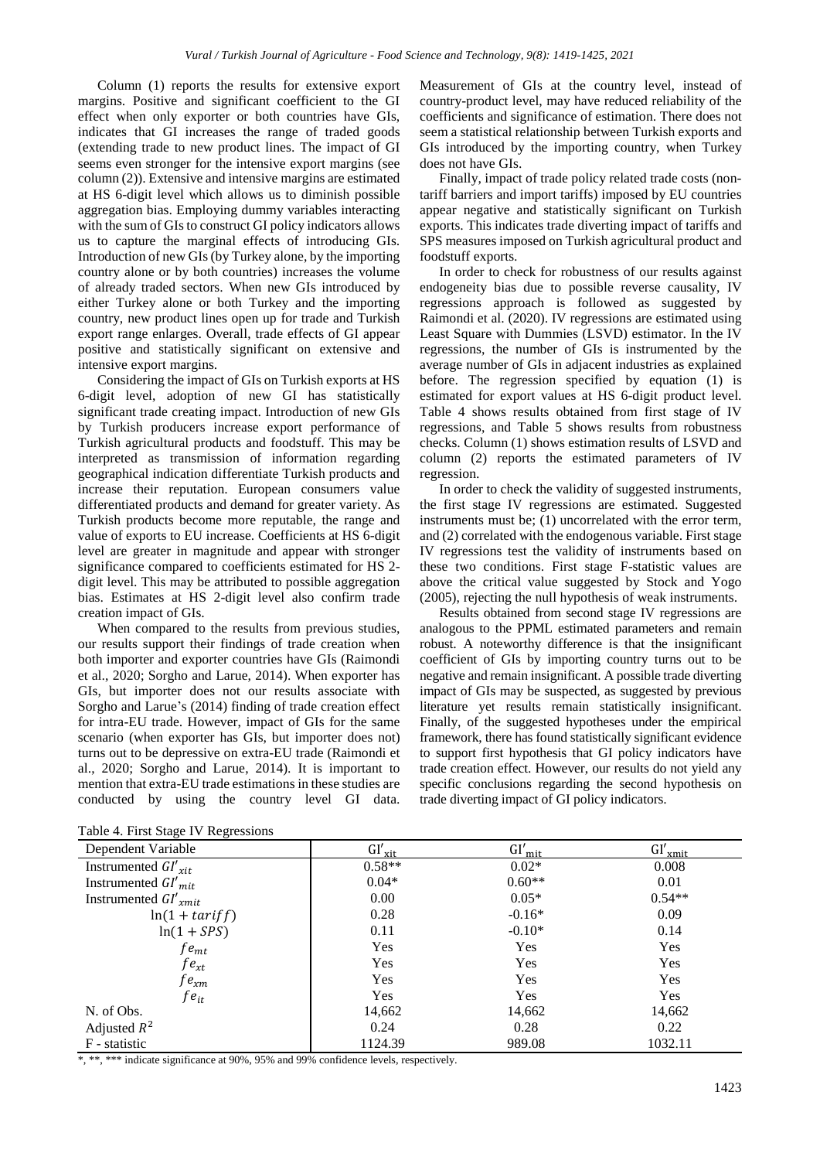Column (1) reports the results for extensive export margins. Positive and significant coefficient to the GI effect when only exporter or both countries have GIs, indicates that GI increases the range of traded goods (extending trade to new product lines. The impact of GI seems even stronger for the intensive export margins (see column (2)). Extensive and intensive margins are estimated at HS 6-digit level which allows us to diminish possible aggregation bias. Employing dummy variables interacting with the sum of GIs to construct GI policy indicators allows us to capture the marginal effects of introducing GIs. Introduction of new GIs(by Turkey alone, by the importing country alone or by both countries) increases the volume of already traded sectors. When new GIs introduced by either Turkey alone or both Turkey and the importing country, new product lines open up for trade and Turkish export range enlarges. Overall, trade effects of GI appear positive and statistically significant on extensive and intensive export margins.

Considering the impact of GIs on Turkish exports at HS 6-digit level, adoption of new GI has statistically significant trade creating impact. Introduction of new GIs by Turkish producers increase export performance of Turkish agricultural products and foodstuff. This may be interpreted as transmission of information regarding geographical indication differentiate Turkish products and increase their reputation. European consumers value differentiated products and demand for greater variety. As Turkish products become more reputable, the range and value of exports to EU increase. Coefficients at HS 6-digit level are greater in magnitude and appear with stronger significance compared to coefficients estimated for HS 2 digit level. This may be attributed to possible aggregation bias. Estimates at HS 2-digit level also confirm trade creation impact of GIs.

When compared to the results from previous studies, our results support their findings of trade creation when both importer and exporter countries have GIs (Raimondi et al., 2020; Sorgho and Larue, 2014). When exporter has GIs, but importer does not our results associate with Sorgho and Larue's (2014) finding of trade creation effect for intra-EU trade. However, impact of GIs for the same scenario (when exporter has GIs, but importer does not) turns out to be depressive on extra-EU trade (Raimondi et al., 2020; Sorgho and Larue, 2014). It is important to mention that extra-EU trade estimations in these studies are conducted by using the country level GI data.

Measurement of GIs at the country level, instead of country-product level, may have reduced reliability of the coefficients and significance of estimation. There does not seem a statistical relationship between Turkish exports and GIs introduced by the importing country, when Turkey does not have GIs.

Finally, impact of trade policy related trade costs (nontariff barriers and import tariffs) imposed by EU countries appear negative and statistically significant on Turkish exports. This indicates trade diverting impact of tariffs and SPS measures imposed on Turkish agricultural product and foodstuff exports.

In order to check for robustness of our results against endogeneity bias due to possible reverse causality, IV regressions approach is followed as suggested by Raimondi et al. (2020). IV regressions are estimated using Least Square with Dummies (LSVD) estimator. In the IV regressions, the number of GIs is instrumented by the average number of GIs in adjacent industries as explained before. The regression specified by equation (1) is estimated for export values at HS 6-digit product level. Table 4 shows results obtained from first stage of IV regressions, and Table 5 shows results from robustness checks. Column (1) shows estimation results of LSVD and column (2) reports the estimated parameters of IV regression.

In order to check the validity of suggested instruments, the first stage IV regressions are estimated. Suggested instruments must be; (1) uncorrelated with the error term, and (2) correlated with the endogenous variable. First stage IV regressions test the validity of instruments based on these two conditions. First stage F-statistic values are above the critical value suggested by Stock and Yogo (2005), rejecting the null hypothesis of weak instruments.

Results obtained from second stage IV regressions are analogous to the PPML estimated parameters and remain robust. A noteworthy difference is that the insignificant coefficient of GIs by importing country turns out to be negative and remain insignificant. A possible trade diverting impact of GIs may be suspected, as suggested by previous literature yet results remain statistically insignificant. Finally, of the suggested hypotheses under the empirical framework, there has found statistically significant evidence to support first hypothesis that GI policy indicators have trade creation effect. However, our results do not yield any specific conclusions regarding the second hypothesis on trade diverting impact of GI policy indicators.

| Dependent Variable        | $GI'_{xit}$ | $GI'_{mit}$ | $GI'_{xmit}$ |
|---------------------------|-------------|-------------|--------------|
| Instrumented $GI'_{xit}$  | $0.58**$    | $0.02*$     | 0.008        |
| Instrumented $GI'_{mit}$  | $0.04*$     | $0.60**$    | 0.01         |
| Instrumented $GI'_{xmit}$ | 0.00        | $0.05*$     | $0.54**$     |
| $ln(1 + tariff)$          | 0.28        | $-0.16*$    | 0.09         |
| $ln(1 + SPS)$             | 0.11        | $-0.10*$    | 0.14         |
| $fe_{mt}$                 | Yes         | Yes         | <b>Yes</b>   |
| $fe_{xt}$                 | <b>Yes</b>  | Yes         | Yes          |
| f $e_{xm}$                | Yes         | Yes         | Yes          |
| $fe_{it}$                 | Yes         | <b>Yes</b>  | <b>Yes</b>   |
| N. of Obs.                | 14,662      | 14,662      | 14,662       |
| Adjusted $R^2$            | 0.24        | 0.28        | 0.22         |
| F - statistic             | 1124.39     | 989.08      | 1032.11      |

\*, \*\*, \*\*\* indicate significance at 90%, 95% and 99% confidence levels, respectively.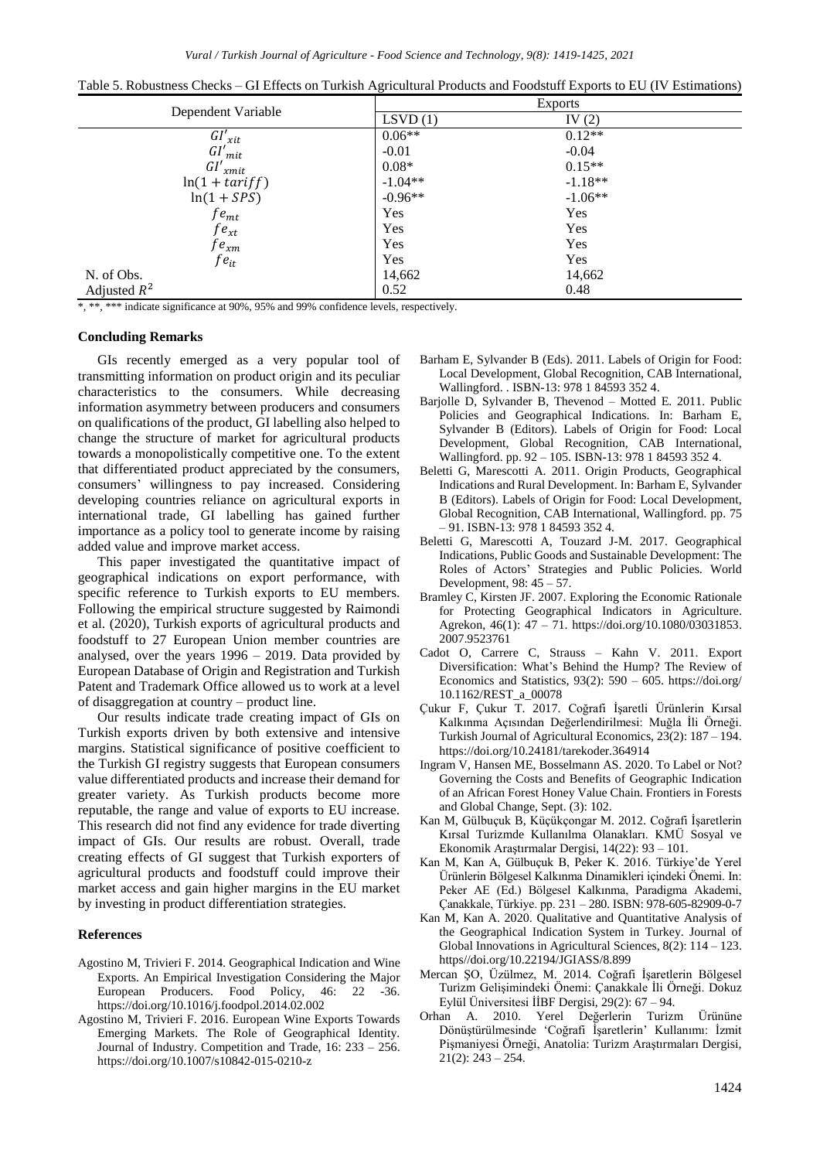| Table 5. Robustness Checks – GI Effects on Turkish Agricultural Products and Foodstuff Exports to EU (IV Estimations) |                |            |  |
|-----------------------------------------------------------------------------------------------------------------------|----------------|------------|--|
|                                                                                                                       | <b>Exports</b> |            |  |
| Dependent Variable                                                                                                    | LSVD(1)        | IV $(2)$   |  |
| $GI'_{xit}$                                                                                                           | $0.06**$       | $0.12**$   |  |
| $GI'_{mit}$                                                                                                           | $-0.01$        | $-0.04$    |  |
| $GI'_{xmit}$                                                                                                          | $0.08*$        | $0.15**$   |  |
| $ln(1 + tariff)$                                                                                                      | $-1.04**$      | $-1.18**$  |  |
| $ln(1 + SPS)$                                                                                                         | $-0.96**$      | $-1.06**$  |  |
| f $e_{mt}$                                                                                                            | <b>Yes</b>     | Yes        |  |
| f $e_{xt}$                                                                                                            | Yes            | Yes        |  |
| f $e_{xm}$                                                                                                            | Yes            | Yes        |  |
| $fe_{it}$                                                                                                             | Yes            | <b>Yes</b> |  |
| N. of Obs.                                                                                                            | 14,662         | 14,662     |  |

Table 5. Robustness Checks – GI Effects on Turkish Agricultural Products and Foodstuff Exports to EU (IV Estimations)

Adjusted  $R^2$ 2 0.52 0.48

\*, \*\*, \*\*\* indicate significance at 90%, 95% and 99% confidence levels, respectively.

#### **Concluding Remarks**

GIs recently emerged as a very popular tool of transmitting information on product origin and its peculiar characteristics to the consumers. While decreasing information asymmetry between producers and consumers on qualifications of the product, GI labelling also helped to change the structure of market for agricultural products towards a monopolistically competitive one. To the extent that differentiated product appreciated by the consumers, consumers' willingness to pay increased. Considering developing countries reliance on agricultural exports in international trade, GI labelling has gained further importance as a policy tool to generate income by raising added value and improve market access.

This paper investigated the quantitative impact of geographical indications on export performance, with specific reference to Turkish exports to EU members. Following the empirical structure suggested by Raimondi et al. (2020), Turkish exports of agricultural products and foodstuff to 27 European Union member countries are analysed, over the years 1996 – 2019. Data provided by European Database of Origin and Registration and Turkish Patent and Trademark Office allowed us to work at a level of disaggregation at country – product line.

Our results indicate trade creating impact of GIs on Turkish exports driven by both extensive and intensive margins. Statistical significance of positive coefficient to the Turkish GI registry suggests that European consumers value differentiated products and increase their demand for greater variety. As Turkish products become more reputable, the range and value of exports to EU increase. This research did not find any evidence for trade diverting impact of GIs. Our results are robust. Overall, trade creating effects of GI suggest that Turkish exporters of agricultural products and foodstuff could improve their market access and gain higher margins in the EU market by investing in product differentiation strategies.

#### **References**

- Agostino M, Trivieri F. 2014. Geographical Indication and Wine Exports. An Empirical Investigation Considering the Major European Producers. Food Policy, 46: 22 -36. https://doi.org/10.1016/j.foodpol.2014.02.002
- Agostino M, Trivieri F. 2016. European Wine Exports Towards Emerging Markets. The Role of Geographical Identity. Journal of Industry. Competition and Trade, 16: 233 – 256. https://doi.org/10.1007/s10842-015-0210-z
- Barham E, Sylvander B (Eds). 2011. Labels of Origin for Food: Local Development, Global Recognition, CAB International, Wallingford. . ISBN-13: 978 1 84593 352 4.
- Barjolle D, Sylvander B, Thevenod Motted E. 2011. Public Policies and Geographical Indications. In: Barham E, Sylvander B (Editors). Labels of Origin for Food: Local Development, Global Recognition, CAB International, Wallingford. pp. 92 – 105. ISBN-13: 978 1 84593 352 4.
- Beletti G, Marescotti A. 2011. Origin Products, Geographical Indications and Rural Development. In: Barham E, Sylvander B (Editors). Labels of Origin for Food: Local Development, Global Recognition, CAB International, Wallingford. pp. 75 – 91. ISBN-13: 978 1 84593 352 4.
- Beletti G, Marescotti A, Touzard J-M. 2017. Geographical Indications, Public Goods and Sustainable Development: The Roles of Actors' Strategies and Public Policies. World Development, 98: 45 – 57.
- Bramley C, Kirsten JF. 2007. Exploring the Economic Rationale for Protecting Geographical Indicators in Agriculture. Agrekon, 46(1): 47 – 71. https://doi.org/10.1080/03031853. 2007.9523761
- Cadot O, Carrere C, Strauss Kahn V. 2011. Export Diversification: What's Behind the Hump? The Review of Economics and Statistics,  $93(2)$ :  $590 - 605$ . https://doi.org/ 10.1162/REST\_a\_00078
- Çukur F, Çukur T. 2017. Coğrafi İşaretli Ürünlerin Kırsal Kalkınma Açısından Değerlendirilmesi: Muğla İli Örneği. Turkish Journal of Agricultural Economics, 23(2): 187 – 194. https://doi.org/10.24181/tarekoder.364914
- Ingram V, Hansen ME, Bosselmann AS. 2020. To Label or Not? Governing the Costs and Benefits of Geographic Indication of an African Forest Honey Value Chain. Frontiers in Forests and Global Change, Sept. (3): 102.
- Kan M, Gülbuçuk B, Küçükçongar M. 2012. Coğrafi İşaretlerin Kırsal Turizmde Kullanılma Olanakları. KMÜ Sosyal ve Ekonomik Araştırmalar Dergisi, 14(22): 93 – 101.
- Kan M, Kan A, Gülbuçuk B, Peker K. 2016. Türkiye'de Yerel Ürünlerin Bölgesel Kalkınma Dinamikleri içindeki Önemi. In: Peker AE (Ed.) Bölgesel Kalkınma, Paradigma Akademi, Çanakkale, Türkiye. pp. 231 – 280. ISBN: 978-605-82909-0-7
- Kan M, Kan A. 2020. Qualitative and Quantitative Analysis of the Geographical Indication System in Turkey. Journal of Global Innovations in Agricultural Sciences, 8(2): 114 – 123. https//doi.org/10.22194/JGIASS/8.899
- Mercan ŞO, Üzülmez, M. 2014. Coğrafi İşaretlerin Bölgesel Turizm Gelişimindeki Önemi: Çanakkale İli Örneği. Dokuz Eylül Üniversitesi İİBF Dergisi, 29(2): 67 – 94.
- Orhan A. 2010. Yerel Değerlerin Turizm Ürününe Dönüştürülmesinde 'Coğrafi İşaretlerin' Kullanımı: İzmit Pişmaniyesi Örneği, Anatolia: Turizm Araştırmaları Dergisi,  $21(2): 243 - 254.$